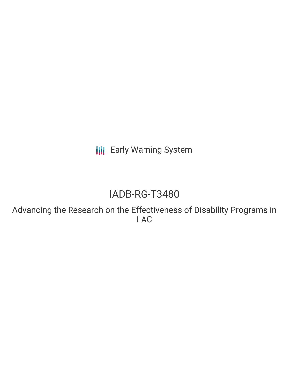**III** Early Warning System

# IADB-RG-T3480

Advancing the Research on the Effectiveness of Disability Programs in LAC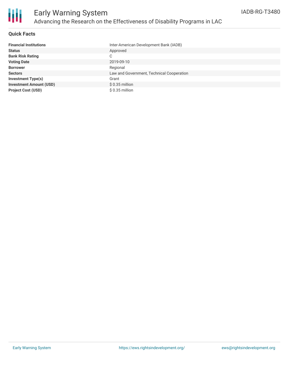

#### **Quick Facts**

| <b>Financial Institutions</b>  | Inter-American Development Bank (IADB)    |
|--------------------------------|-------------------------------------------|
| <b>Status</b>                  | Approved                                  |
| <b>Bank Risk Rating</b>        | С                                         |
| <b>Voting Date</b>             | 2019-09-10                                |
| <b>Borrower</b>                | Regional                                  |
| <b>Sectors</b>                 | Law and Government, Technical Cooperation |
| <b>Investment Type(s)</b>      | Grant                                     |
| <b>Investment Amount (USD)</b> | $$0.35$ million                           |
| <b>Project Cost (USD)</b>      | $$0.35$ million                           |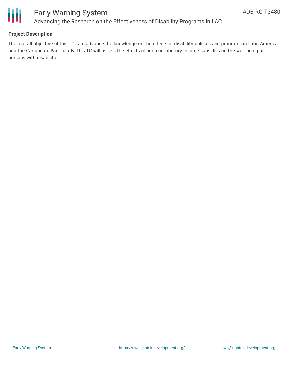

### **Project Description**

The overall objective of this TC is to advance the knowledge on the effects of disability policies and programs in Latin America and the Caribbean. Particularly, this TC will assess the effects of non-contributory income subsidies on the well-being of persons with disabilities.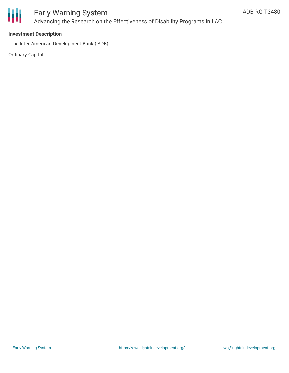

#### **Investment Description**

• Inter-American Development Bank (IADB)

Ordinary Capital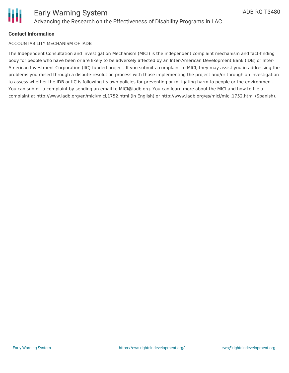#### **Contact Information**

#### ACCOUNTABILITY MECHANISM OF IADB

The Independent Consultation and Investigation Mechanism (MICI) is the independent complaint mechanism and fact-finding body for people who have been or are likely to be adversely affected by an Inter-American Development Bank (IDB) or Inter-American Investment Corporation (IIC)-funded project. If you submit a complaint to MICI, they may assist you in addressing the problems you raised through a dispute-resolution process with those implementing the project and/or through an investigation to assess whether the IDB or IIC is following its own policies for preventing or mitigating harm to people or the environment. You can submit a complaint by sending an email to MICI@iadb.org. You can learn more about the MICI and how to file a complaint at http://www.iadb.org/en/mici/mici,1752.html (in English) or http://www.iadb.org/es/mici/mici,1752.html (Spanish).